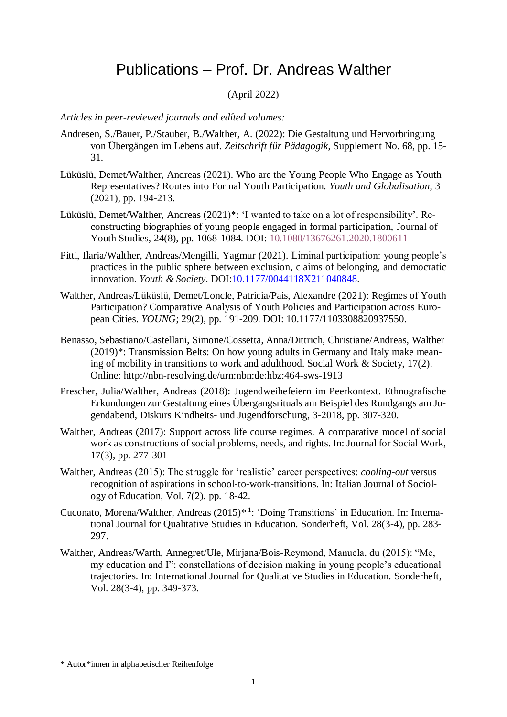# Publications – Prof. Dr. Andreas Walther

# (April 2022)

*Articles in peer-reviewed journals and edíted volumes:*

- Andresen, S./Bauer, P./Stauber, B./Walther, A. (2022): Die Gestaltung und Hervorbringung von Übergängen im Lebenslauf. *Zeitschrift für Pädagogik*, Supplement No. 68, pp. 15- 31.
- Lüküslü, Demet/Walther, Andreas (2021). Who are the Young People Who Engage as Youth Representatives? Routes into Formal Youth Participation. *Youth and Globalisation*, 3 (2021), pp. 194-213.
- Lüküslü, Demet/Walther, Andreas (2021)\*: 'I wanted to take on a lot of responsibility'. Reconstructing biographies of young people engaged in formal participation, Journal of Youth Studies, 24(8), pp. 1068-1084. DOI: [10.1080/13676261.2020.1800611](https://doi.org/10.1080/13676261.2020.1800611)
- Pitti, Ilaria/Walther, Andreas/Mengilli, Yagmur (2021). Liminal participation: young people's practices in the public sphere between exclusion, claims of belonging, and democratic innovation. *Youth & Society*. DOI[:10.1177/0044118X211040848.](https://doi.org/10.1177/0044118X211040848)
- Walther, Andreas/Lüküslü, Demet/Loncle, Patricia/Pais, Alexandre (2021): Regimes of Youth Participation? Comparative Analysis of Youth Policies and Participation across European Cities. *YOUNG*; 29(2), pp. 191-209. DOI: 10.1177/1103308820937550.
- Benasso, Sebastiano/Castellani, Simone/Cossetta, Anna/Dittrich, Christiane/Andreas, Walther (2019)\*: Transmission Belts: On how young adults in Germany and Italy make meaning of mobility in transitions to work and adulthood. Social Work & Society, 17(2). Online: http://nbn-resolving.de/urn:nbn:de:hbz:464-sws-1913
- Prescher, Julia/Walther, Andreas (2018): Jugendweihefeiern im Peerkontext. Ethnografische Erkundungen zur Gestaltung eines Übergangsrituals am Beispiel des Rundgangs am Jugendabend, Diskurs Kindheits- und Jugendforschung, 3-2018, pp. 307-320.
- Walther, Andreas (2017): Support across life course regimes. A comparative model of social work as constructions of social problems, needs, and rights. In: Journal for Social Work, 17(3), pp. 277-301
- Walther, Andreas (2015): The struggle for 'realistic' career perspectives: *cooling-out* versus recognition of aspirations in school-to-work-transitions. In: Italian Journal of Sociology of Education, Vol. 7(2), pp. 18-42.
- Cuconato, Morena/Walther, Andreas (2015)<sup>\* 1</sup>: 'Doing Transitions' in Education. In: International Journal for Qualitative Studies in Education. Sonderheft, Vol. 28(3-4), pp. 283- 297.
- Walther, Andreas/Warth, Annegret/Ule, Mirjana/Bois-Reymond, Manuela, du (2015): "Me, my education and I": constellations of decision making in young people's educational trajectories. In: International Journal for Qualitative Studies in Education. Sonderheft, Vol. 28(3-4), pp. 349-373.

-

<sup>\*</sup> Autor\*innen in alphabetischer Reihenfolge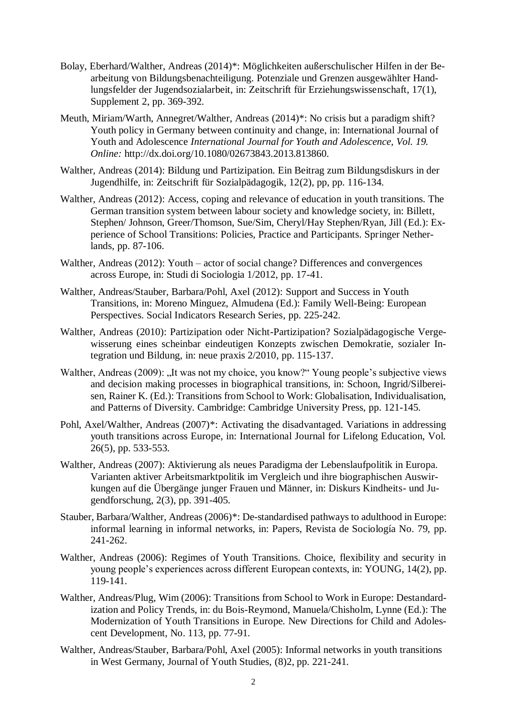- Bolay, Eberhard/Walther, Andreas (2014)\*: Möglichkeiten außerschulischer Hilfen in der Bearbeitung von Bildungsbenachteiligung. Potenziale und Grenzen ausgewählter Handlungsfelder der Jugendsozialarbeit, in: Zeitschrift für Erziehungswissenschaft, 17(1), Supplement 2, pp. 369-392.
- Meuth, Miriam/Warth, Annegret/Walther, Andreas (2014)\*: No crisis but a paradigm shift? Youth policy in Germany between continuity and change, in: International Journal of Youth and Adolescence *International Journal for Youth and Adolescence, Vol. 19. Online:* http://dx.doi.org/10.1080/02673843.2013.813860.
- Walther, Andreas (2014): Bildung und Partizipation. Ein Beitrag zum Bildungsdiskurs in der Jugendhilfe, in: Zeitschrift für Sozialpädagogik, 12(2), pp, pp. 116-134.
- Walther, Andreas (2012): Access, coping and relevance of education in youth transitions. The German transition system between labour society and knowledge society, in: Billett, Stephen/ Johnson, Greer/Thomson, Sue/Sim, Cheryl/Hay Stephen/Ryan, Jill (Ed.): Experience of School Transitions: Policies, Practice and Participants. Springer Netherlands, pp. 87-106.
- Walther, Andreas (2012): Youth actor of social change? Differences and convergences across Europe, in: Studi di Sociologia 1/2012, pp. 17-41.
- Walther, Andreas/Stauber, Barbara/Pohl, Axel (2012): Support and Success in Youth Transitions, in: Moreno Minguez, Almudena (Ed.): Family Well-Being: European Perspectives. Social Indicators Research Series, pp. 225-242.
- Walther, Andreas (2010): Partizipation oder Nicht-Partizipation? Sozialpädagogische Vergewisserung eines scheinbar eindeutigen Konzepts zwischen Demokratie, sozialer Integration und Bildung, in: neue praxis 2/2010, pp. 115-137.
- Walther, Andreas (2009): "It was not my choice, you know?" Young people's subjective views and decision making processes in biographical transitions, in: Schoon, Ingrid/Silbereisen, Rainer K. (Ed.): Transitions from School to Work: Globalisation, Individualisation, and Patterns of Diversity. Cambridge: Cambridge University Press, pp. 121-145.
- Pohl, Axel/Walther, Andreas (2007)\*: Activating the disadvantaged. Variations in addressing youth transitions across Europe, in: International Journal for Lifelong Education, Vol. 26(5), pp. 533-553.
- Walther, Andreas (2007): Aktivierung als neues Paradigma der Lebenslaufpolitik in Europa. Varianten aktiver Arbeitsmarktpolitik im Vergleich und ihre biographischen Auswirkungen auf die Übergänge junger Frauen und Männer, in: Diskurs Kindheits- und Jugendforschung, 2(3), pp. 391-405.
- Stauber, Barbara/Walther, Andreas (2006)\*: De-standardised pathways to adulthood in Europe: informal learning in informal networks, in: Papers, Revista de Sociología No. 79, pp. 241-262.
- Walther, Andreas (2006): Regimes of Youth Transitions. Choice, flexibility and security in young people's experiences across different European contexts, in: YOUNG, 14(2), pp. 119-141.
- Walther, Andreas/Plug, Wim (2006): Transitions from School to Work in Europe: Destandardization and Policy Trends, in: du Bois-Reymond, Manuela/Chisholm, Lynne (Ed.): The Modernization of Youth Transitions in Europe. New Directions for Child and Adolescent Development, No. 113, pp. 77-91.
- Walther, Andreas/Stauber, Barbara/Pohl, Axel (2005): Informal networks in youth transitions in West Germany, Journal of Youth Studies, (8)2, pp. 221-241.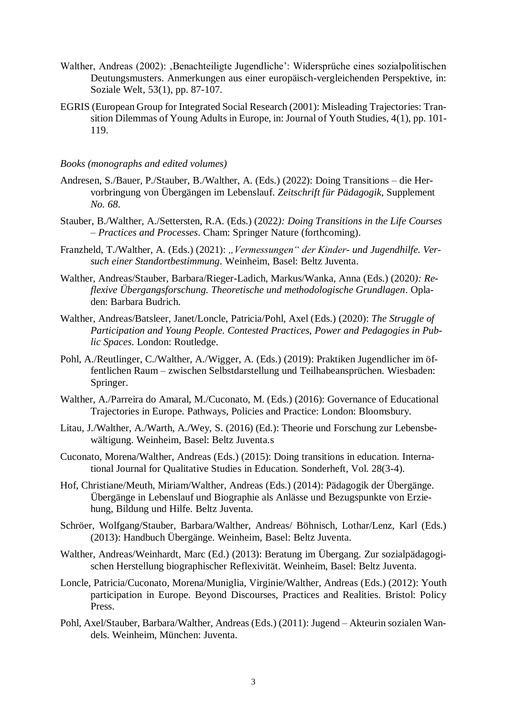- Walther, Andreas (2002): ,Benachteiligte Jugendliche': Widersprüche eines sozialpolitischen Deutungsmusters. Anmerkungen aus einer europäisch-vergleichenden Perspektive, in: Soziale Welt, 53(1), pp. 87-107.
- EGRIS (European Group for Integrated Social Research (2001): Misleading Trajectories: Transition Dilemmas of Young Adults in Europe, in: Journal of Youth Studies, 4(1), pp. 101- 119.

#### *Books (monographs and edited volumes)*

- Andresen, S./Bauer, P./Stauber, B./Walther, A. (Eds.) (2022): Doing Transitions die Hervorbringung von Übergängen im Lebenslauf. *Zeitschrift für Pädagogik*, Supplement *No. 68*.
- Stauber, B./Walther, A./Settersten, R.A. (Eds.) (2022*): Doing Transitions in the Life Courses – Practices and Processes*. Cham: Springer Nature (forthcoming).
- Franzheld, T./Walther, A. (Eds.) (2021): "Vermessungen" der Kinder- und Jugendhilfe. Ver*such einer Standortbestimmung*. Weinheim, Basel: Beltz Juventa.
- Walther, Andreas/Stauber, Barbara/Rieger-Ladich, Markus/Wanka, Anna (Eds.) (2020*): Reflexive Übergangsforschung. Theoretische und methodologische Grundlagen*. Opladen: Barbara Budrich.
- Walther, Andreas/Batsleer, Janet/Loncle, Patricia/Pohl, Axel (Eds.) (2020): *The Struggle of Participation and Young People. Contested Practices, Power and Pedagogies in Public Spaces*. London: Routledge.
- Pohl, A./Reutlinger, C./Walther, A./Wigger, A. (Eds.) (2019): Praktiken Jugendlicher im öffentlichen Raum – zwischen Selbstdarstellung und Teilhabeansprüchen. Wiesbaden: Springer.
- Walther, A./Parreira do Amaral, M./Cuconato, M. (Eds.) (2016): Governance of Educational Trajectories in Europe. Pathways, Policies and Practice: London: Bloomsbury.
- Litau, J./Walther, A./Warth, A./Wey, S. (2016) (Ed.): Theorie und Forschung zur Lebensbewältigung. Weinheim, Basel: Beltz Juventa.s
- Cuconato, Morena/Walther, Andreas (Eds.) (2015): Doing transitions in education. International Journal for Qualitative Studies in Education. Sonderheft, Vol. 28(3-4).
- Hof, Christiane/Meuth, Miriam/Walther, Andreas (Eds.) (2014): Pädagogik der Übergänge. Übergänge in Lebenslauf und Biographie als Anlässe und Bezugspunkte von Erziehung, Bildung und Hilfe. Beltz Juventa.
- Schröer, Wolfgang/Stauber, Barbara/Walther, Andreas/ Böhnisch, Lothar/Lenz, Karl (Eds.) (2013): Handbuch Übergänge. Weinheim, Basel: Beltz Juventa.
- Walther, Andreas/Weinhardt, Marc (Ed.) (2013): Beratung im Übergang. Zur sozialpädagogischen Herstellung biographischer Reflexivität. Weinheim, Basel: Beltz Juventa.
- Loncle, Patricia/Cuconato, Morena/Muniglia, Virginie/Walther, Andreas (Eds.) (2012): Youth participation in Europe. Beyond Discourses, Practices and Realities. Bristol: Policy Press.
- Pohl, Axel/Stauber, Barbara/Walther, Andreas (Eds.) (2011): Jugend Akteurin sozialen Wandels. Weinheim, München: Juventa.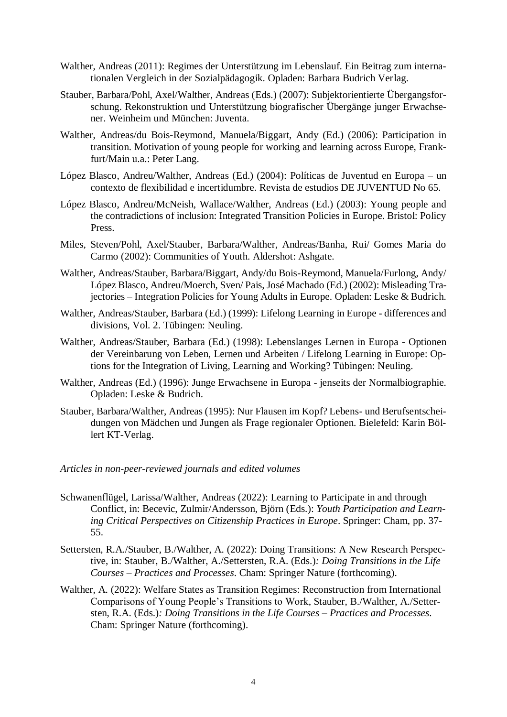- Walther, Andreas (2011): Regimes der Unterstützung im Lebenslauf. Ein Beitrag zum internationalen Vergleich in der Sozialpädagogik. Opladen: Barbara Budrich Verlag.
- Stauber, Barbara/Pohl, Axel/Walther, Andreas (Eds.) (2007): Subjektorientierte Übergangsforschung. Rekonstruktion und Unterstützung biografischer Übergänge junger Erwachsener. Weinheim und München: Juventa.
- Walther, Andreas/du Bois-Reymond, Manuela/Biggart, Andy (Ed.) (2006): Participation in transition. Motivation of young people for working and learning across Europe, Frankfurt/Main u.a.: Peter Lang.
- López Blasco, Andreu/Walther, Andreas (Ed.) (2004): Políticas de Juventud en Europa un contexto de flexibilidad e incertidumbre. Revista de estudios DE JUVENTUD No 65.
- López Blasco, Andreu/McNeish, Wallace/Walther, Andreas (Ed.) (2003): Young people and the contradictions of inclusion: Integrated Transition Policies in Europe. Bristol: Policy Press.
- Miles, Steven/Pohl, Axel/Stauber, Barbara/Walther, Andreas/Banha, Rui/ Gomes Maria do Carmo (2002): Communities of Youth. Aldershot: Ashgate.
- Walther, Andreas/Stauber, Barbara/Biggart, Andy/du Bois-Reymond, Manuela/Furlong, Andy/ López Blasco, Andreu/Moerch, Sven/ Pais, José Machado (Ed.) (2002): Misleading Trajectories – Integration Policies for Young Adults in Europe. Opladen: Leske & Budrich.
- Walther, Andreas/Stauber, Barbara (Ed.) (1999): Lifelong Learning in Europe differences and divisions, Vol. 2. Tübingen: Neuling.
- Walther, Andreas/Stauber, Barbara (Ed.) (1998): Lebenslanges Lernen in Europa Optionen der Vereinbarung von Leben, Lernen und Arbeiten / Lifelong Learning in Europe: Options for the Integration of Living, Learning and Working? Tübingen: Neuling.
- Walther, Andreas (Ed.) (1996): Junge Erwachsene in Europa jenseits der Normalbiographie. Opladen: Leske & Budrich.
- Stauber, Barbara/Walther, Andreas (1995): Nur Flausen im Kopf? Lebens- und Berufsentscheidungen von Mädchen und Jungen als Frage regionaler Optionen. Bielefeld: Karin Böllert KT-Verlag.

#### *Articles in non-peer-reviewed journals and edited volumes*

- Schwanenflügel, Larissa/Walther, Andreas (2022): Learning to Participate in and through Conflict, in: Becevic, Zulmir/Andersson, Björn (Eds.): *Youth Participation and Learning Critical Perspectives on Citizenship Practices in Europe*. Springer: Cham, pp. 37- 55.
- Settersten, R.A./Stauber, B./Walther, A. (2022): Doing Transitions: A New Research Perspective, in: Stauber, B./Walther, A./Settersten, R.A. (Eds.)*: Doing Transitions in the Life Courses – Practices and Processes*. Cham: Springer Nature (forthcoming).
- Walther, A. (2022): Welfare States as Transition Regimes: Reconstruction from International Comparisons of Young People's Transitions to Work, Stauber, B./Walther, A./Settersten, R.A. (Eds.)*: Doing Transitions in the Life Courses – Practices and Processes*. Cham: Springer Nature (forthcoming).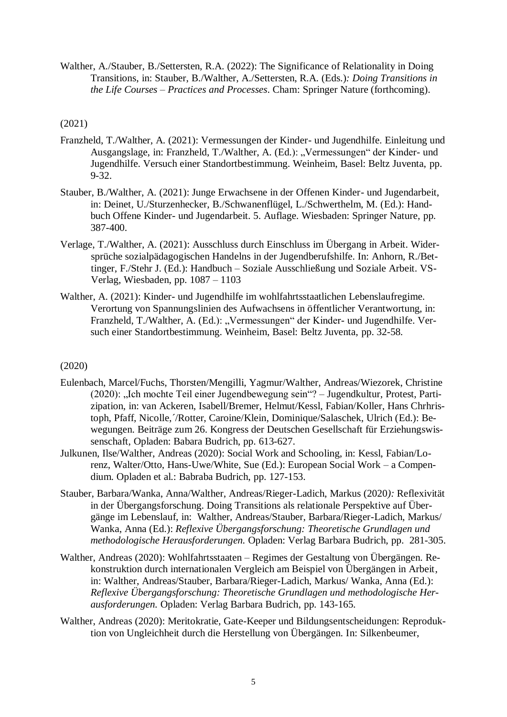Walther, A./Stauber, B./Settersten, R.A. (2022): The Significance of Relationality in Doing Transitions, in: Stauber, B./Walther, A./Settersten, R.A. (Eds.)*: Doing Transitions in the Life Courses – Practices and Processes*. Cham: Springer Nature (forthcoming).

#### (2021)

- Franzheld, T./Walther, A. (2021): Vermessungen der Kinder- und Jugendhilfe. Einleitung und Ausgangslage, in: Franzheld, T./Walther, A. (Ed.): "Vermessungen" der Kinder- und Jugendhilfe. Versuch einer Standortbestimmung. Weinheim, Basel: Beltz Juventa, pp. 9-32.
- Stauber, B./Walther, A. (2021): Junge Erwachsene in der Offenen Kinder- und Jugendarbeit, in: Deinet, U./Sturzenhecker, B./Schwanenflügel, L./Schwerthelm, M. (Ed.): Handbuch Offene Kinder- und Jugendarbeit. 5. Auflage. Wiesbaden: Springer Nature, pp. 387-400.
- Verlage, T./Walther, A. (2021): Ausschluss durch Einschluss im Übergang in Arbeit. Widersprüche sozialpädagogischen Handelns in der Jugendberufshilfe. In: Anhorn, R./Bettinger, F./Stehr J. (Ed.): Handbuch – Soziale Ausschließung und Soziale Arbeit. VS-Verlag, Wiesbaden, pp. 1087 – 1103
- Walther, A. (2021): Kinder- und Jugendhilfe im wohlfahrtsstaatlichen Lebenslaufregime. Verortung von Spannungslinien des Aufwachsens in öffentlicher Verantwortung, in: Franzheld, T./Walther, A. (Ed.): "Vermessungen" der Kinder- und Jugendhilfe. Versuch einer Standortbestimmung. Weinheim, Basel: Beltz Juventa, pp. 32-58.

## (2020)

- Eulenbach, Marcel/Fuchs, Thorsten/Mengilli, Yagmur/Walther, Andreas/Wiezorek, Christine (2020): "Ich mochte Teil einer Jugendbewegung sein"? – Jugendkultur, Protest, Partizipation, in: van Ackeren, Isabell/Bremer, Helmut/Kessl, Fabian/Koller, Hans Chrhristoph, Pfaff, Nicolle,´/Rotter, Caroine/Klein, Dominique/Salaschek, Ulrich (Ed.): Bewegungen. Beiträge zum 26. Kongress der Deutschen Gesellschaft für Erziehungswissenschaft, Opladen: Babara Budrich, pp. 613-627.
- Julkunen, Ilse/Walther, Andreas (2020): Social Work and Schooling, in: Kessl, Fabian/Lorenz, Walter/Otto, Hans-Uwe/White, Sue (Ed.): European Social Work – a Compendium. Opladen et al.: Babraba Budrich, pp. 127-153.
- Stauber, Barbara/Wanka, Anna/Walther, Andreas/Rieger-Ladich, Markus (2020*):* Reflexivität in der Übergangsforschung. Doing Transitions als relationale Perspektive auf Übergänge im Lebenslauf, in: Walther, Andreas/Stauber, Barbara/Rieger-Ladich, Markus/ Wanka, Anna (Ed.): *Reflexive Übergangsforschung: Theoretische Grundlagen und methodologische Herausforderungen.* Opladen: Verlag Barbara Budrich, pp. 281-305.
- Walther, Andreas (2020): Wohlfahrtsstaaten Regimes der Gestaltung von Übergängen. Rekonstruktion durch internationalen Vergleich am Beispiel von Übergängen in Arbeit, in: Walther, Andreas/Stauber, Barbara/Rieger-Ladich, Markus/ Wanka, Anna (Ed.): *Reflexive Übergangsforschung: Theoretische Grundlagen und methodologische Herausforderungen.* Opladen: Verlag Barbara Budrich, pp. 143-165.
- Walther, Andreas (2020): Meritokratie, Gate-Keeper und Bildungsentscheidungen: Reproduktion von Ungleichheit durch die Herstellung von Übergängen. In: Silkenbeumer,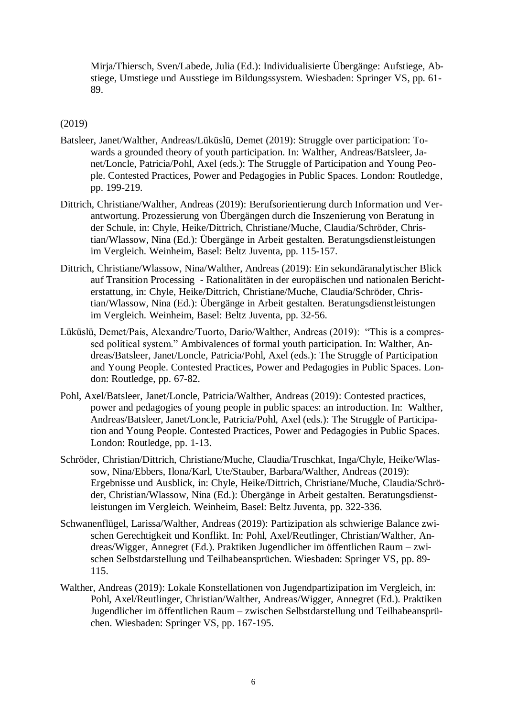Mirja/Thiersch, Sven/Labede, Julia (Ed.): Individualisierte Übergänge: Aufstiege, Abstiege, Umstiege und Ausstiege im Bildungssystem. Wiesbaden: Springer VS, pp. 61- 89.

#### (2019)

- Batsleer, Janet/Walther, Andreas/Lüküslü, Demet (2019): Struggle over participation: Towards a grounded theory of youth participation. In: Walther, Andreas/Batsleer, Janet/Loncle, Patricia/Pohl, Axel (eds.): The Struggle of Participation and Young People. Contested Practices, Power and Pedagogies in Public Spaces. London: Routledge, pp. 199-219.
- Dittrich, Christiane/Walther, Andreas (2019): Berufsorientierung durch Information und Verantwortung. Prozessierung von Übergängen durch die Inszenierung von Beratung in der Schule, in: Chyle, Heike/Dittrich, Christiane/Muche, Claudia/Schröder, Christian/Wlassow, Nina (Ed.): Übergänge in Arbeit gestalten. Beratungsdienstleistungen im Vergleich. Weinheim, Basel: Beltz Juventa, pp. 115-157.
- Dittrich, Christiane/Wlassow, Nina/Walther, Andreas (2019): Ein sekundäranalytischer Blick auf Transition Processing - Rationalitäten in der europäischen und nationalen Berichterstattung, in: Chyle, Heike/Dittrich, Christiane/Muche, Claudia/Schröder, Christian/Wlassow, Nina (Ed.): Übergänge in Arbeit gestalten. Beratungsdienstleistungen im Vergleich. Weinheim, Basel: Beltz Juventa, pp. 32-56.
- Lüküslü, Demet/Pais, Alexandre/Tuorto, Dario/Walther, Andreas (2019): "This is a compressed political system." Ambivalences of formal youth participation. In: Walther, Andreas/Batsleer, Janet/Loncle, Patricia/Pohl, Axel (eds.): The Struggle of Participation and Young People. Contested Practices, Power and Pedagogies in Public Spaces. London: Routledge, pp. 67-82.
- Pohl, Axel/Batsleer, Janet/Loncle, Patricia/Walther, Andreas (2019): Contested practices, power and pedagogies of young people in public spaces: an introduction. In: Walther, Andreas/Batsleer, Janet/Loncle, Patricia/Pohl, Axel (eds.): The Struggle of Participation and Young People. Contested Practices, Power and Pedagogies in Public Spaces. London: Routledge, pp. 1-13.
- Schröder, Christian/Dittrich, Christiane/Muche, Claudia/Truschkat, Inga/Chyle, Heike/Wlassow, Nina/Ebbers, Ilona/Karl, Ute/Stauber, Barbara/Walther, Andreas (2019): Ergebnisse und Ausblick, in: Chyle, Heike/Dittrich, Christiane/Muche, Claudia/Schröder, Christian/Wlassow, Nina (Ed.): Übergänge in Arbeit gestalten. Beratungsdienstleistungen im Vergleich. Weinheim, Basel: Beltz Juventa, pp. 322-336.
- Schwanenflügel, Larissa/Walther, Andreas (2019): Partizipation als schwierige Balance zwischen Gerechtigkeit und Konflikt. In: Pohl, Axel/Reutlinger, Christian/Walther, Andreas/Wigger, Annegret (Ed.). Praktiken Jugendlicher im öffentlichen Raum – zwischen Selbstdarstellung und Teilhabeansprüchen. Wiesbaden: Springer VS, pp. 89- 115.
- Walther, Andreas (2019): Lokale Konstellationen von Jugendpartizipation im Vergleich, in: Pohl, Axel/Reutlinger, Christian/Walther, Andreas/Wigger, Annegret (Ed.). Praktiken Jugendlicher im öffentlichen Raum – zwischen Selbstdarstellung und Teilhabeansprüchen. Wiesbaden: Springer VS, pp. 167-195.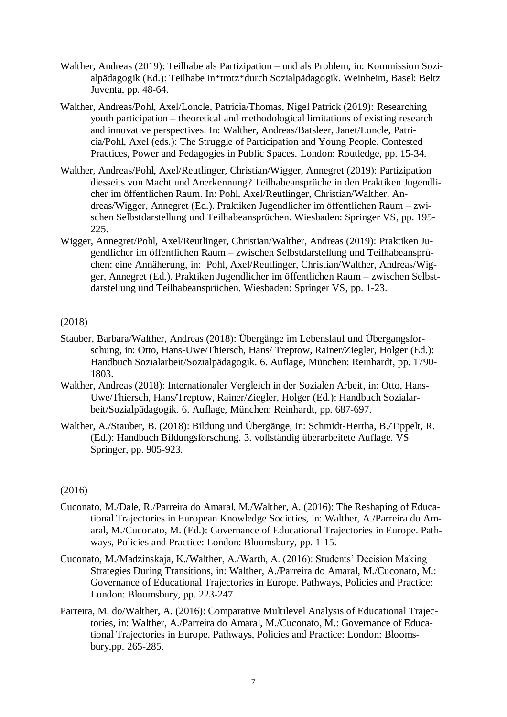- Walther, Andreas (2019): Teilhabe als Partizipation und als Problem, in: Kommission Sozialpädagogik (Ed.): Teilhabe in\*trotz\*durch Sozialpädagogik. Weinheim, Basel: Beltz Juventa, pp. 48-64.
- Walther, Andreas/Pohl, Axel/Loncle, Patricia/Thomas, Nigel Patrick (2019): Researching youth participation – theoretical and methodological limitations of existing research and innovative perspectives. In: Walther, Andreas/Batsleer, Janet/Loncle, Patricia/Pohl, Axel (eds.): The Struggle of Participation and Young People. Contested Practices, Power and Pedagogies in Public Spaces. London: Routledge, pp. 15-34.
- Walther, Andreas/Pohl, Axel/Reutlinger, Christian/Wigger, Annegret (2019): Partizipation diesseits von Macht und Anerkennung? Teilhabeansprüche in den Praktiken Jugendlicher im öffentlichen Raum. In: Pohl, Axel/Reutlinger, Christian/Walther, Andreas/Wigger, Annegret (Ed.). Praktiken Jugendlicher im öffentlichen Raum – zwischen Selbstdarstellung und Teilhabeansprüchen. Wiesbaden: Springer VS, pp. 195- 225.
- Wigger, Annegret/Pohl, Axel/Reutlinger, Christian/Walther, Andreas (2019): Praktiken Jugendlicher im öffentlichen Raum – zwischen Selbstdarstellung und Teilhabeansprüchen: eine Annäherung, in: Pohl, Axel/Reutlinger, Christian/Walther, Andreas/Wigger, Annegret (Ed.). Praktiken Jugendlicher im öffentlichen Raum – zwischen Selbstdarstellung und Teilhabeansprüchen. Wiesbaden: Springer VS, pp. 1-23.

#### (2018)

- Stauber, Barbara/Walther, Andreas (2018): Übergänge im Lebenslauf und Übergangsforschung, in: Otto, Hans-Uwe/Thiersch, Hans/ Treptow, Rainer/Ziegler, Holger (Ed.): Handbuch Sozialarbeit/Sozialpädagogik. 6. Auflage, München: Reinhardt, pp. 1790- 1803.
- Walther, Andreas (2018): Internationaler Vergleich in der Sozialen Arbeit, in: Otto, Hans-Uwe/Thiersch, Hans/Treptow, Rainer/Ziegler, Holger (Ed.): Handbuch Sozialarbeit/Sozialpädagogik. 6. Auflage, München: Reinhardt, pp. 687-697.
- Walther, A./Stauber, B. (2018): Bildung und Übergänge, in: Schmidt-Hertha, B./Tippelt, R. (Ed.): Handbuch Bildungsforschung. 3. vollständig überarbeitete Auflage. VS Springer, pp. 905-923.

#### (2016)

- Cuconato, M./Dale, R./Parreira do Amaral, M./Walther, A. (2016): The Reshaping of Educational Trajectories in European Knowledge Societies, in: Walther, A./Parreira do Amaral, M./Cuconato, M. (Ed.): Governance of Educational Trajectories in Europe. Pathways, Policies and Practice: London: Bloomsbury, pp. 1-15.
- Cuconato, M./Madzinskaja, K./Walther, A./Warth, A. (2016): Students' Decision Making Strategies During Transitions, in: Walther, A./Parreira do Amaral, M./Cuconato, M.: Governance of Educational Trajectories in Europe. Pathways, Policies and Practice: London: Bloomsbury, pp. 223-247.
- Parreira, M. do/Walther, A. (2016): Comparative Multilevel Analysis of Educational Trajectories, in: Walther, A./Parreira do Amaral, M./Cuconato, M.: Governance of Educational Trajectories in Europe. Pathways, Policies and Practice: London: Bloomsbury,pp. 265-285.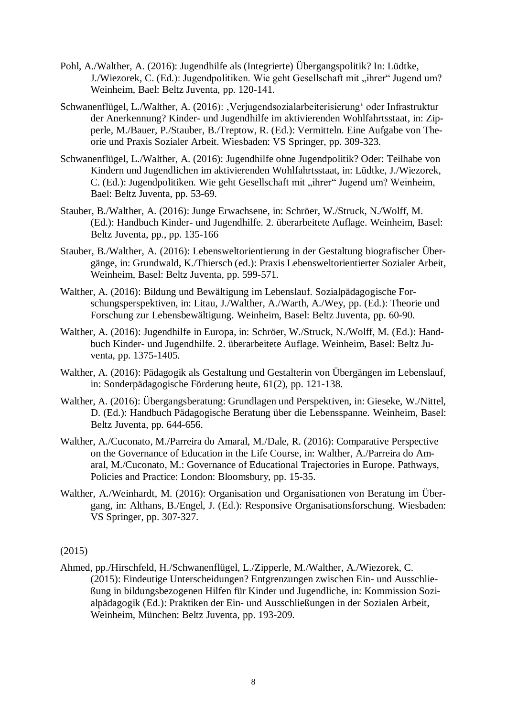- Pohl, A./Walther, A. (2016): Jugendhilfe als (Integrierte) Übergangspolitik? In: Lüdtke, J./Wiezorek, C. (Ed.): Jugendpolitiken. Wie geht Gesellschaft mit "ihrer" Jugend um? Weinheim, Bael: Beltz Juventa, pp. 120-141.
- Schwanenflügel, L./Walther, A. (2016): , Verjugendsozialarbeiterisierung' oder Infrastruktur der Anerkennung? Kinder- und Jugendhilfe im aktivierenden Wohlfahrtsstaat, in: Zipperle, M./Bauer, P./Stauber, B./Treptow, R. (Ed.): Vermitteln. Eine Aufgabe von Theorie und Praxis Sozialer Arbeit. Wiesbaden: VS Springer, pp. 309-323.
- Schwanenflügel, L./Walther, A. (2016): Jugendhilfe ohne Jugendpolitik? Oder: Teilhabe von Kindern und Jugendlichen im aktivierenden Wohlfahrtsstaat, in: Lüdtke, J./Wiezorek, C. (Ed.): Jugendpolitiken. Wie geht Gesellschaft mit "ihrer" Jugend um? Weinheim, Bael: Beltz Juventa, pp. 53-69.
- Stauber, B./Walther, A. (2016): Junge Erwachsene, in: Schröer, W./Struck, N./Wolff, M. (Ed.): Handbuch Kinder- und Jugendhilfe. 2. überarbeitete Auflage. Weinheim, Basel: Beltz Juventa, pp., pp. 135-166
- Stauber, B./Walther, A. (2016): Lebensweltorientierung in der Gestaltung biografischer Übergänge, in: Grundwald, K./Thiersch (ed.): Praxis Lebensweltorientierter Sozialer Arbeit, Weinheim, Basel: Beltz Juventa, pp. 599-571.
- Walther, A. (2016): Bildung und Bewältigung im Lebenslauf. Sozialpädagogische Forschungsperspektiven, in: Litau, J./Walther, A./Warth, A./Wey, pp. (Ed.): Theorie und Forschung zur Lebensbewältigung. Weinheim, Basel: Beltz Juventa, pp. 60-90.
- Walther, A. (2016): Jugendhilfe in Europa, in: Schröer, W./Struck, N./Wolff, M. (Ed.): Handbuch Kinder- und Jugendhilfe. 2. überarbeitete Auflage. Weinheim, Basel: Beltz Juventa, pp. 1375-1405.
- Walther, A. (2016): Pädagogik als Gestaltung und Gestalterin von Übergängen im Lebenslauf, in: Sonderpädagogische Förderung heute, 61(2), pp. 121-138.
- Walther, A. (2016): Übergangsberatung: Grundlagen und Perspektiven, in: Gieseke, W./Nittel, D. (Ed.): Handbuch Pädagogische Beratung über die Lebensspanne. Weinheim, Basel: Beltz Juventa, pp. 644-656.
- Walther, A./Cuconato, M./Parreira do Amaral, M./Dale, R. (2016): Comparative Perspective on the Governance of Education in the Life Course, in: Walther, A./Parreira do Amaral, M./Cuconato, M.: Governance of Educational Trajectories in Europe. Pathways, Policies and Practice: London: Bloomsbury, pp. 15-35.
- Walther, A./Weinhardt, M. (2016): Organisation und Organisationen von Beratung im Übergang, in: Althans, B./Engel, J. (Ed.): Responsive Organisationsforschung. Wiesbaden: VS Springer, pp. 307-327.

(2015)

Ahmed, pp./Hirschfeld, H./Schwanenflügel, L./Zipperle, M./Walther, A./Wiezorek, C. (2015): Eindeutige Unterscheidungen? Entgrenzungen zwischen Ein- und Ausschließung in bildungsbezogenen Hilfen für Kinder und Jugendliche, in: Kommission Sozialpädagogik (Ed.): Praktiken der Ein- und Ausschließungen in der Sozialen Arbeit, Weinheim, München: Beltz Juventa, pp. 193-209.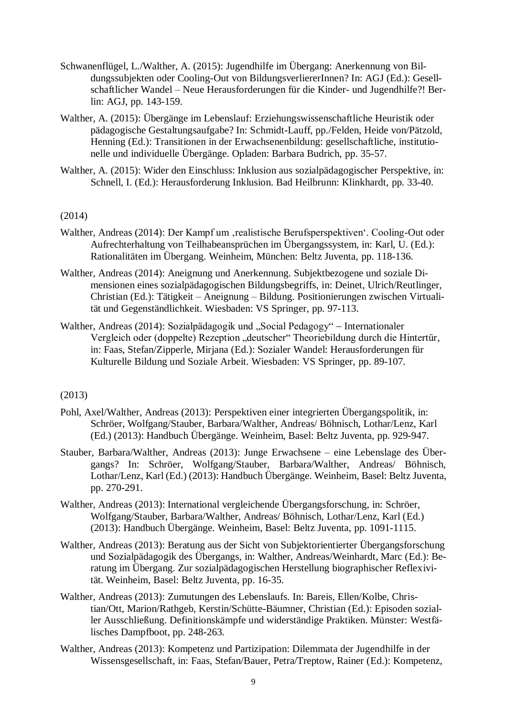- Schwanenflügel, L./Walther, A. (2015): Jugendhilfe im Übergang: Anerkennung von Bildungssubjekten oder Cooling-Out von BildungsverliererInnen? In: AGJ (Ed.): Gesellschaftlicher Wandel – Neue Herausforderungen für die Kinder- und Jugendhilfe?! Berlin: AGJ, pp. 143-159.
- Walther, A. (2015): Übergänge im Lebenslauf: Erziehungswissenschaftliche Heuristik oder pädagogische Gestaltungsaufgabe? In: Schmidt-Lauff, pp./Felden, Heide von/Pätzold, Henning (Ed.): Transitionen in der Erwachsenenbildung: gesellschaftliche, institutionelle und individuelle Übergänge. Opladen: Barbara Budrich, pp. 35-57.
- Walther, A. (2015): Wider den Einschluss: Inklusion aus sozialpädagogischer Perspektive, in: Schnell, I. (Ed.): Herausforderung Inklusion. Bad Heilbrunn: Klinkhardt, pp. 33-40.

#### (2014)

- Walther, Andreas (2014): Der Kampf um , realistische Berufsperspektiven'. Cooling-Out oder Aufrechterhaltung von Teilhabeansprüchen im Übergangssystem, in: Karl, U. (Ed.): Rationalitäten im Übergang. Weinheim, München: Beltz Juventa, pp. 118-136.
- Walther, Andreas (2014): Aneignung und Anerkennung. Subjektbezogene und soziale Dimensionen eines sozialpädagogischen Bildungsbegriffs, in: Deinet, Ulrich/Reutlinger, Christian (Ed.): Tätigkeit – Aneignung – Bildung. Positionierungen zwischen Virtualität und Gegenständlichkeit. Wiesbaden: VS Springer, pp. 97-113.
- Walther, Andreas (2014): Sozialpädagogik und "Social Pedagogy" Internationaler Vergleich oder (doppelte) Rezeption "deutscher" Theoriebildung durch die Hintertür, in: Faas, Stefan/Zipperle, Mirjana (Ed.): Sozialer Wandel: Herausforderungen für Kulturelle Bildung und Soziale Arbeit. Wiesbaden: VS Springer, pp. 89-107.

#### (2013)

- Pohl, Axel/Walther, Andreas (2013): Perspektiven einer integrierten Übergangspolitik, in: Schröer, Wolfgang/Stauber, Barbara/Walther, Andreas/ Böhnisch, Lothar/Lenz, Karl (Ed.) (2013): Handbuch Übergänge. Weinheim, Basel: Beltz Juventa, pp. 929-947.
- Stauber, Barbara/Walther, Andreas (2013): Junge Erwachsene eine Lebenslage des Übergangs? In: Schröer, Wolfgang/Stauber, Barbara/Walther, Andreas/ Böhnisch, Lothar/Lenz, Karl (Ed.) (2013): Handbuch Übergänge. Weinheim, Basel: Beltz Juventa, pp. 270-291.
- Walther, Andreas (2013): International vergleichende Übergangsforschung, in: Schröer, Wolfgang/Stauber, Barbara/Walther, Andreas/ Böhnisch, Lothar/Lenz, Karl (Ed.) (2013): Handbuch Übergänge. Weinheim, Basel: Beltz Juventa, pp. 1091-1115.
- Walther, Andreas (2013): Beratung aus der Sicht von Subjektorientierter Übergangsforschung und Sozialpädagogik des Übergangs, in: Walther, Andreas/Weinhardt, Marc (Ed.): Beratung im Übergang. Zur sozialpädagogischen Herstellung biographischer Reflexivität. Weinheim, Basel: Beltz Juventa, pp. 16-35.
- Walther, Andreas (2013): Zumutungen des Lebenslaufs. In: Bareis, Ellen/Kolbe, Christian/Ott, Marion/Rathgeb, Kerstin/Schütte-Bäumner, Christian (Ed.): Episoden sozialler Ausschließung. Definitionskämpfe und widerständige Praktiken. Münster: Westfälisches Dampfboot, pp. 248-263.
- Walther, Andreas (2013): Kompetenz und Partizipation: Dilemmata der Jugendhilfe in der Wissensgesellschaft, in: Faas, Stefan/Bauer, Petra/Treptow, Rainer (Ed.): Kompetenz,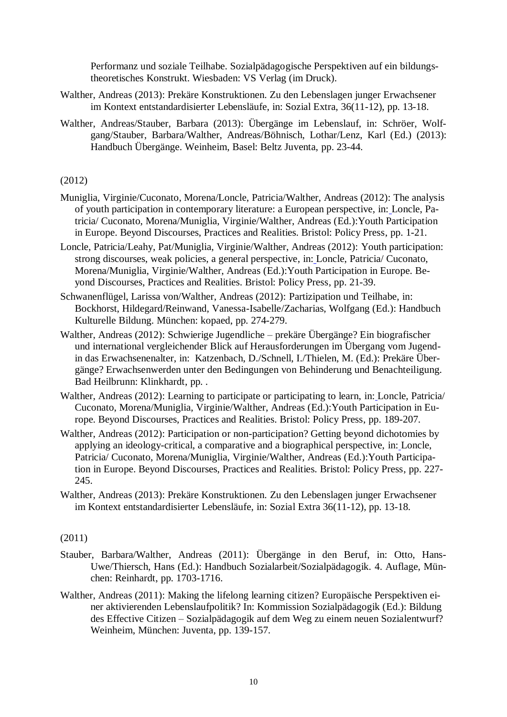Performanz und soziale Teilhabe. Sozialpädagogische Perspektiven auf ein bildungstheoretisches Konstrukt. Wiesbaden: VS Verlag (im Druck).

- Walther, Andreas (2013): Prekäre Konstruktionen. Zu den Lebenslagen junger Erwachsener im Kontext entstandardisierter Lebensläufe, in: Sozial Extra, 36(11-12), pp. 13-18.
- Walther, Andreas/Stauber, Barbara (2013): Übergänge im Lebenslauf, in: Schröer, Wolfgang/Stauber, Barbara/Walther, Andreas/Böhnisch, Lothar/Lenz, Karl (Ed.) (2013): Handbuch Übergänge. Weinheim, Basel: Beltz Juventa, pp. 23-44.

## (2012)

- Muniglia, Virginie/Cuconato, Morena/Loncle, Patricia/Walther, Andreas (2012): The analysis of youth participation in contemporary literature: a European perspective, in: Loncle, Patricia/ Cuconato, Morena/Muniglia, Virginie/Walther, Andreas (Ed.):Youth Participation in Europe. Beyond Discourses, Practices and Realities. Bristol: Policy Press, pp. 1-21.
- Loncle, Patricia/Leahy, Pat/Muniglia, Virginie/Walther, Andreas (2012): Youth participation: strong discourses, weak policies, a general perspective, in: Loncle, Patricia/ Cuconato, Morena/Muniglia, Virginie/Walther, Andreas (Ed.):Youth Participation in Europe. Beyond Discourses, Practices and Realities. Bristol: Policy Press, pp. 21-39.
- Schwanenflügel, Larissa von/Walther, Andreas (2012): Partizipation und Teilhabe, in: Bockhorst, Hildegard/Reinwand, Vanessa-Isabelle/Zacharias, Wolfgang (Ed.): Handbuch Kulturelle Bildung. München: kopaed, pp. 274-279.
- Walther, Andreas (2012): Schwierige Jugendliche prekäre Übergänge? Ein biografischer und international vergleichender Blick auf Herausforderungen im Übergang vom Jugendin das Erwachsenenalter, in: Katzenbach, D./Schnell, I./Thielen, M. (Ed.): Prekäre Übergänge? Erwachsenwerden unter den Bedingungen von Behinderung und Benachteiligung. Bad Heilbrunn: Klinkhardt, pp. .
- Walther, Andreas (2012): Learning to participate or participating to learn, in: Loncle, Patricia/ Cuconato, Morena/Muniglia, Virginie/Walther, Andreas (Ed.):Youth Participation in Europe. Beyond Discourses, Practices and Realities. Bristol: Policy Press, pp. 189-207.
- Walther, Andreas (2012): Participation or non-participation? Getting beyond dichotomies by applying an ideology-critical, a comparative and a biographical perspective, in: Loncle, Patricia/ Cuconato, Morena/Muniglia, Virginie/Walther, Andreas (Ed.):Youth Participation in Europe. Beyond Discourses, Practices and Realities. Bristol: Policy Press, pp. 227- 245.
- Walther, Andreas (2013): Prekäre Konstruktionen. Zu den Lebenslagen junger Erwachsener im Kontext entstandardisierter Lebensläufe, in: Sozial Extra 36(11-12), pp. 13-18.

#### (2011)

- Stauber, Barbara/Walther, Andreas (2011): Übergänge in den Beruf, in: Otto, Hans-Uwe/Thiersch, Hans (Ed.): Handbuch Sozialarbeit/Sozialpädagogik. 4. Auflage, München: Reinhardt, pp. 1703-1716.
- Walther, Andreas (2011): Making the lifelong learning citizen? Europäische Perspektiven einer aktivierenden Lebenslaufpolitik? In: Kommission Sozialpädagogik (Ed.): Bildung des Effective Citizen – Sozialpädagogik auf dem Weg zu einem neuen Sozialentwurf? Weinheim, München: Juventa, pp. 139-157.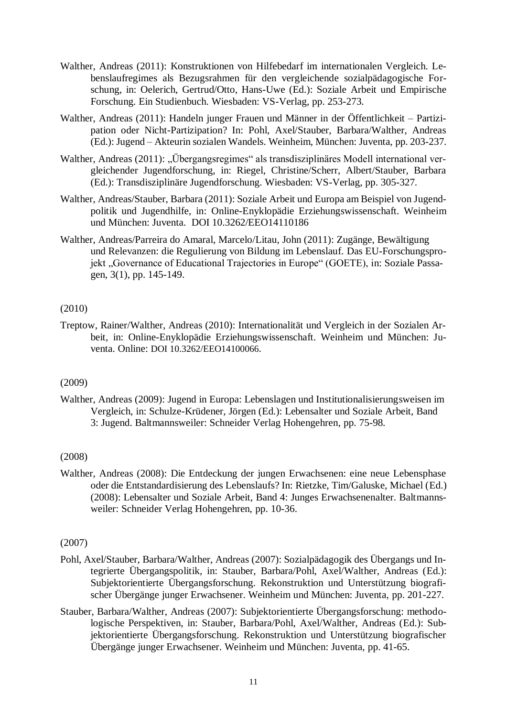- Walther, Andreas (2011): Konstruktionen von Hilfebedarf im internationalen Vergleich. Lebenslaufregimes als Bezugsrahmen für den vergleichende sozialpädagogische Forschung, in: Oelerich, Gertrud/Otto, Hans-Uwe (Ed.): Soziale Arbeit und Empirische Forschung. Ein Studienbuch. Wiesbaden: VS-Verlag, pp. 253-273.
- Walther, Andreas (2011): Handeln junger Frauen und Männer in der Öffentlichkeit Partizipation oder Nicht-Partizipation? In: Pohl, Axel/Stauber, Barbara/Walther, Andreas (Ed.): Jugend – Akteurin sozialen Wandels. Weinheim, München: Juventa, pp. 203-237.
- Walther, Andreas (2011): "Übergangsregimes" als transdisziplinäres Modell international vergleichender Jugendforschung, in: Riegel, Christine/Scherr, Albert/Stauber, Barbara (Ed.): Transdisziplinäre Jugendforschung. Wiesbaden: VS-Verlag, pp. 305-327.
- Walther, Andreas/Stauber, Barbara (2011): Soziale Arbeit und Europa am Beispiel von Jugendpolitik und Jugendhilfe, in: Online-Enyklopädie Erziehungswissenschaft. Weinheim und München: Juventa. DOI 10.3262/EEO14110186
- Walther, Andreas/Parreira do Amaral, Marcelo/Litau, John (2011): Zugänge, Bewältigung und Relevanzen: die Regulierung von Bildung im Lebenslauf. Das EU-Forschungsprojekt "Governance of Educational Trajectories in Europe" (GOETE), in: Soziale Passagen, 3(1), pp. 145-149.

## (2010)

Treptow, Rainer/Walther, Andreas (2010): Internationalität und Vergleich in der Sozialen Arbeit, in: Online-Enyklopädie Erziehungswissenschaft. Weinheim und München: Juventa. Online: DOI 10.3262/EEO14100066.

# (2009)

Walther, Andreas (2009): Jugend in Europa: Lebenslagen und Institutionalisierungsweisen im Vergleich, in: Schulze-Krüdener, Jörgen (Ed.): Lebensalter und Soziale Arbeit, Band 3: Jugend. Baltmannsweiler: Schneider Verlag Hohengehren, pp. 75-98.

## (2008)

Walther, Andreas (2008): Die Entdeckung der jungen Erwachsenen: eine neue Lebensphase oder die Entstandardisierung des Lebenslaufs? In: Rietzke, Tim/Galuske, Michael (Ed.) (2008): Lebensalter und Soziale Arbeit, Band 4: Junges Erwachsenenalter. Baltmannsweiler: Schneider Verlag Hohengehren, pp. 10-36.

## (2007)

- Pohl, Axel/Stauber, Barbara/Walther, Andreas (2007): Sozialpädagogik des Übergangs und Integrierte Übergangspolitik, in: Stauber, Barbara/Pohl, Axel/Walther, Andreas (Ed.): Subjektorientierte Übergangsforschung. Rekonstruktion und Unterstützung biografischer Übergänge junger Erwachsener. Weinheim und München: Juventa, pp. 201-227.
- Stauber, Barbara/Walther, Andreas (2007): Subjektorientierte Übergangsforschung: methodologische Perspektiven, in: Stauber, Barbara/Pohl, Axel/Walther, Andreas (Ed.): Subjektorientierte Übergangsforschung. Rekonstruktion und Unterstützung biografischer Übergänge junger Erwachsener. Weinheim und München: Juventa, pp. 41-65.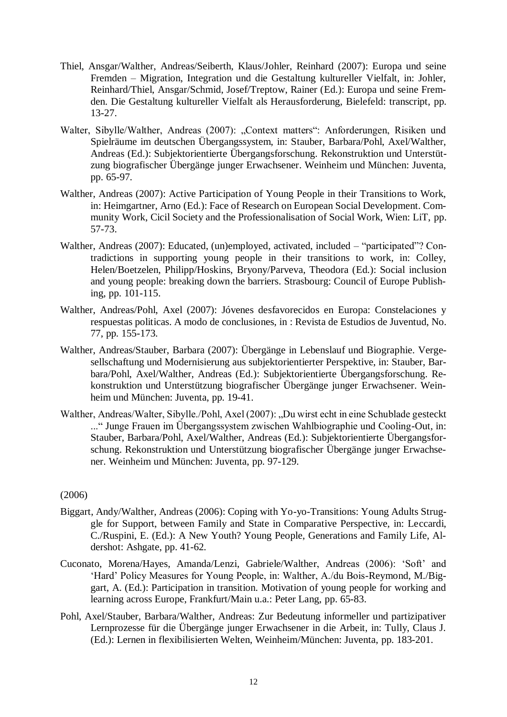- Thiel, Ansgar/Walther, Andreas/Seiberth, Klaus/Johler, Reinhard (2007): Europa und seine Fremden – Migration, Integration und die Gestaltung kultureller Vielfalt, in: Johler, Reinhard/Thiel, Ansgar/Schmid, Josef/Treptow, Rainer (Ed.): Europa und seine Fremden. Die Gestaltung kultureller Vielfalt als Herausforderung, Bielefeld: transcript, pp. 13-27.
- Walter, Sibylle/Walther, Andreas (2007): "Context matters": Anforderungen, Risiken und Spielräume im deutschen Übergangssystem, in: Stauber, Barbara/Pohl, Axel/Walther, Andreas (Ed.): Subjektorientierte Übergangsforschung. Rekonstruktion und Unterstützung biografischer Übergänge junger Erwachsener. Weinheim und München: Juventa, pp. 65-97.
- Walther, Andreas (2007): Active Participation of Young People in their Transitions to Work, in: Heimgartner, Arno (Ed.): Face of Research on European Social Development. Community Work, Cicil Society and the Professionalisation of Social Work, Wien: LiT, pp. 57-73.
- Walther, Andreas (2007): Educated, (un)employed, activated, included "participated"? Contradictions in supporting young people in their transitions to work, in: Colley, Helen/Boetzelen, Philipp/Hoskins, Bryony/Parveva, Theodora (Ed.): Social inclusion and young people: breaking down the barriers. Strasbourg: Council of Europe Publishing, pp. 101-115.
- Walther, Andreas/Pohl, Axel (2007): Jóvenes desfavorecidos en Europa: Constelaciones y respuestas politicas. A modo de conclusiones, in : Revista de Estudios de Juventud, No. 77, pp. 155-173.
- Walther, Andreas/Stauber, Barbara (2007): Übergänge in Lebenslauf und Biographie. Vergesellschaftung und Modernisierung aus subjektorientierter Perspektive, in: Stauber, Barbara/Pohl, Axel/Walther, Andreas (Ed.): Subjektorientierte Übergangsforschung. Rekonstruktion und Unterstützung biografischer Übergänge junger Erwachsener. Weinheim und München: Juventa, pp. 19-41.
- Walther, Andreas/Walter, Sibylle./Pohl, Axel (2007): "Du wirst echt in eine Schublade gesteckt ..." Junge Frauen im Übergangssystem zwischen Wahlbiographie und Cooling-Out, in: Stauber, Barbara/Pohl, Axel/Walther, Andreas (Ed.): Subjektorientierte Übergangsforschung. Rekonstruktion und Unterstützung biografischer Übergänge junger Erwachsener. Weinheim und München: Juventa, pp. 97-129.

## (2006)

- Biggart, Andy/Walther, Andreas (2006): Coping with Yo-yo-Transitions: Young Adults Struggle for Support, between Family and State in Comparative Perspective, in: Leccardi, C./Ruspini, E. (Ed.): A New Youth? Young People, Generations and Family Life, Aldershot: Ashgate, pp. 41-62.
- Cuconato, Morena/Hayes, Amanda/Lenzi, Gabriele/Walther, Andreas (2006): 'Soft' and 'Hard' Policy Measures for Young People, in: Walther, A./du Bois-Reymond, M./Biggart, A. (Ed.): Participation in transition. Motivation of young people for working and learning across Europe, Frankfurt/Main u.a.: Peter Lang, pp. 65-83.
- Pohl, Axel/Stauber, Barbara/Walther, Andreas: Zur Bedeutung informeller und partizipativer Lernprozesse für die Übergänge junger Erwachsener in die Arbeit, in: Tully, Claus J. (Ed.): Lernen in flexibilisierten Welten, Weinheim/München: Juventa, pp. 183-201.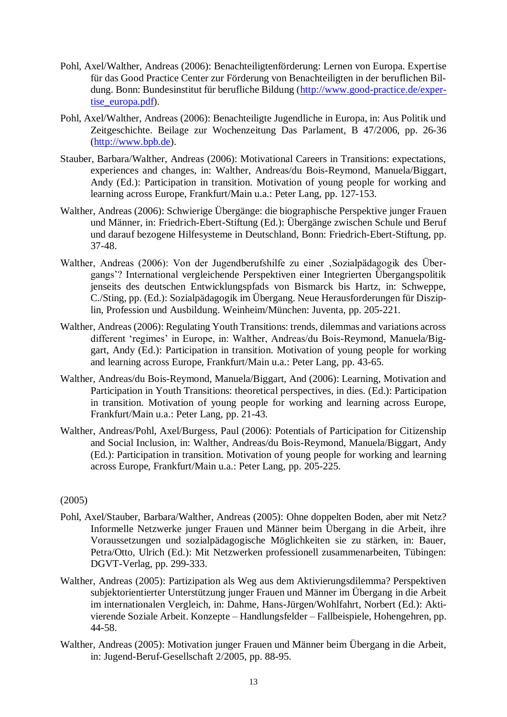- Pohl, Axel/Walther, Andreas (2006): Benachteiligtenförderung: Lernen von Europa. Expertise für das Good Practice Center zur Förderung von Benachteiligten in der beruflichen Bildung. Bonn: Bundesinstitut für berufliche Bildung [\(http://www.good-practice.de/exper](http://www.good-practice.de/expertise_europa.pdf)[tise\\_europa.pdf\)](http://www.good-practice.de/expertise_europa.pdf).
- Pohl, Axel/Walther, Andreas (2006): Benachteiligte Jugendliche in Europa, in: Aus Politik und Zeitgeschichte. Beilage zur Wochenzeitung Das Parlament, B 47/2006, pp. 26-36 [\(http://www.bpb.de\)](http://www.bpb.de/).
- Stauber, Barbara/Walther, Andreas (2006): Motivational Careers in Transitions: expectations, experiences and changes, in: Walther, Andreas/du Bois-Reymond, Manuela/Biggart, Andy (Ed.): Participation in transition. Motivation of young people for working and learning across Europe, Frankfurt/Main u.a.: Peter Lang, pp. 127-153.
- Walther, Andreas (2006): Schwierige Übergänge: die biographische Perspektive junger Frauen und Männer, in: Friedrich-Ebert-Stiftung (Ed.): Übergänge zwischen Schule und Beruf und darauf bezogene Hilfesysteme in Deutschland, Bonn: Friedrich-Ebert-Stiftung, pp. 37-48.
- Walther, Andreas (2006): Von der Jugendberufshilfe zu einer , Sozialpädagogik des Übergangs'? International vergleichende Perspektiven einer Integrierten Übergangspolitik jenseits des deutschen Entwicklungspfads von Bismarck bis Hartz, in: Schweppe, C./Sting, pp. (Ed.): Sozialpädagogik im Übergang. Neue Herausforderungen für Disziplin, Profession und Ausbildung. Weinheim/München: Juventa, pp. 205-221.
- Walther, Andreas (2006): Regulating Youth Transitions: trends, dilemmas and variations across different 'regimes' in Europe, in: Walther, Andreas/du Bois-Reymond, Manuela/Biggart, Andy (Ed.): Participation in transition. Motivation of young people for working and learning across Europe, Frankfurt/Main u.a.: Peter Lang, pp. 43-65.
- Walther, Andreas/du Bois-Reymond, Manuela/Biggart, And (2006): Learning, Motivation and Participation in Youth Transitions: theoretical perspectives, in dies. (Ed.): Participation in transition. Motivation of young people for working and learning across Europe, Frankfurt/Main u.a.: Peter Lang, pp. 21-43.
- Walther, Andreas/Pohl, Axel/Burgess, Paul (2006): Potentials of Participation for Citizenship and Social Inclusion, in: Walther, Andreas/du Bois-Reymond, Manuela/Biggart, Andy (Ed.): Participation in transition. Motivation of young people for working and learning across Europe, Frankfurt/Main u.a.: Peter Lang, pp. 205-225.

## (2005)

- Pohl, Axel/Stauber, Barbara/Walther, Andreas (2005): Ohne doppelten Boden, aber mit Netz? Informelle Netzwerke junger Frauen und Männer beim Übergang in die Arbeit, ihre Voraussetzungen und sozialpädagogische Möglichkeiten sie zu stärken, in: Bauer, Petra/Otto, Ulrich (Ed.): Mit Netzwerken professionell zusammenarbeiten, Tübingen: DGVT-Verlag, pp. 299-333.
- Walther, Andreas (2005): Partizipation als Weg aus dem Aktivierungsdilemma? Perspektiven subjektorientierter Unterstützung junger Frauen und Männer im Übergang in die Arbeit im internationalen Vergleich, in: Dahme, Hans-Jürgen/Wohlfahrt, Norbert (Ed.): Aktivierende Soziale Arbeit. Konzepte – Handlungsfelder – Fallbeispiele, Hohengehren, pp. 44-58.
- Walther, Andreas (2005): Motivation junger Frauen und Männer beim Übergang in die Arbeit, in: Jugend-Beruf-Gesellschaft 2/2005, pp. 88-95.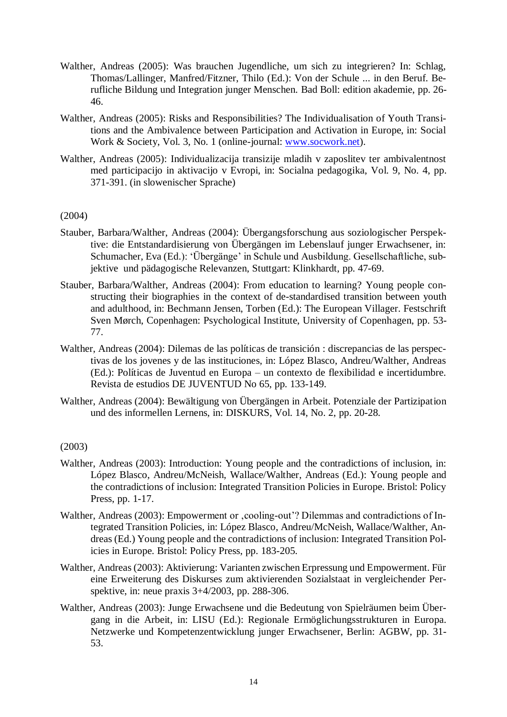- Walther, Andreas (2005): Was brauchen Jugendliche, um sich zu integrieren? In: Schlag, Thomas/Lallinger, Manfred/Fitzner, Thilo (Ed.): Von der Schule ... in den Beruf. Berufliche Bildung und Integration junger Menschen. Bad Boll: edition akademie, pp. 26- 46.
- Walther, Andreas (2005): Risks and Responsibilities? The Individualisation of Youth Transitions and the Ambivalence between Participation and Activation in Europe, in: Social Work & Society, Vol. 3, No. 1 (online-journal: [www.socwork.net\)](http://www.socwork.net/).
- Walther, Andreas (2005): Individualizacija transizije mladih v zaposlitev ter ambivalentnost med participacijo in aktivacijo v Evropi, in: Socialna pedagogika, Vol. 9, No. 4, pp. 371-391. (in slowenischer Sprache)

#### (2004)

- Stauber, Barbara/Walther, Andreas (2004): Übergangsforschung aus soziologischer Perspektive: die Entstandardisierung von Übergängen im Lebenslauf junger Erwachsener, in: Schumacher, Eva (Ed.): 'Übergänge' in Schule und Ausbildung. Gesellschaftliche, subjektive und pädagogische Relevanzen, Stuttgart: Klinkhardt, pp. 47-69.
- Stauber, Barbara/Walther, Andreas (2004): From education to learning? Young people constructing their biographies in the context of de-standardised transition between youth and adulthood, in: Bechmann Jensen, Torben (Ed.): The European Villager. Festschrift Sven Mørch, Copenhagen: Psychological Institute, University of Copenhagen, pp. 53- 77.
- Walther, Andreas (2004): Dilemas de las políticas de transición : discrepancias de las perspectivas de los jovenes y de las instituciones, in: López Blasco, Andreu/Walther, Andreas (Ed.): Políticas de Juventud en Europa – un contexto de flexibilidad e incertidumbre. Revista de estudios DE JUVENTUD No 65, pp. 133-149.
- Walther, Andreas (2004): Bewältigung von Übergängen in Arbeit. Potenziale der Partizipation und des informellen Lernens, in: DISKURS, Vol. 14, No. 2, pp. 20-28.

## (2003)

- Walther, Andreas (2003): Introduction: Young people and the contradictions of inclusion, in: López Blasco, Andreu/McNeish, Wallace/Walther, Andreas (Ed.): Young people and the contradictions of inclusion: Integrated Transition Policies in Europe. Bristol: Policy Press, pp. 1-17.
- Walther, Andreas (2003): Empowerment or , cooling-out'? Dilemmas and contradictions of Integrated Transition Policies, in: López Blasco, Andreu/McNeish, Wallace/Walther, Andreas (Ed.) Young people and the contradictions of inclusion: Integrated Transition Policies in Europe. Bristol: Policy Press, pp. 183-205.
- Walther, Andreas (2003): Aktivierung: Varianten zwischen Erpressung und Empowerment. Für eine Erweiterung des Diskurses zum aktivierenden Sozialstaat in vergleichender Perspektive, in: neue praxis 3+4/2003, pp. 288-306.
- Walther, Andreas (2003): Junge Erwachsene und die Bedeutung von Spielräumen beim Übergang in die Arbeit, in: LISU (Ed.): Regionale Ermöglichungsstrukturen in Europa. Netzwerke und Kompetenzentwicklung junger Erwachsener, Berlin: AGBW, pp. 31- 53.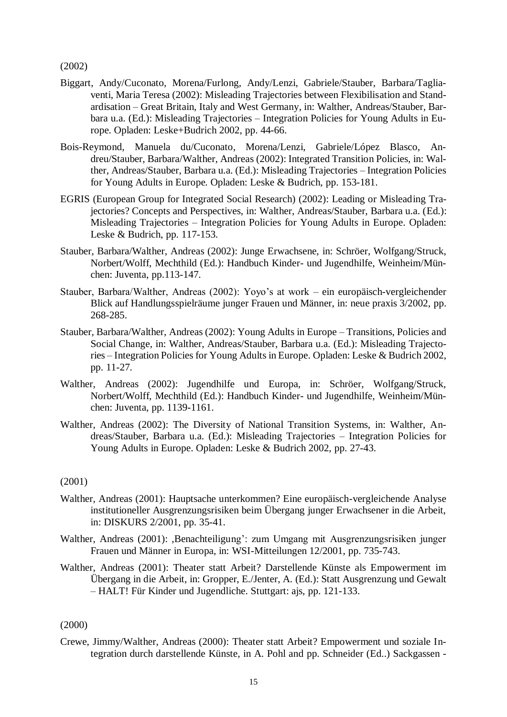(2002)

- Biggart, Andy/Cuconato, Morena/Furlong, Andy/Lenzi, Gabriele/Stauber, Barbara/Tagliaventi, Maria Teresa (2002): Misleading Trajectories between Flexibilisation and Standardisation – Great Britain, Italy and West Germany, in: Walther, Andreas/Stauber, Barbara u.a. (Ed.): Misleading Trajectories – Integration Policies for Young Adults in Europe. Opladen: Leske+Budrich 2002, pp. 44-66.
- Bois-Reymond, Manuela du/Cuconato, Morena/Lenzi, Gabriele/López Blasco, Andreu/Stauber, Barbara/Walther, Andreas (2002): Integrated Transition Policies, in: Walther, Andreas/Stauber, Barbara u.a. (Ed.): Misleading Trajectories – Integration Policies for Young Adults in Europe. Opladen: Leske & Budrich, pp. 153-181.
- EGRIS (European Group for Integrated Social Research) (2002): Leading or Misleading Trajectories? Concepts and Perspectives, in: Walther, Andreas/Stauber, Barbara u.a. (Ed.): Misleading Trajectories – Integration Policies for Young Adults in Europe. Opladen: Leske & Budrich, pp. 117-153.
- Stauber, Barbara/Walther, Andreas (2002): Junge Erwachsene, in: Schröer, Wolfgang/Struck, Norbert/Wolff, Mechthild (Ed.): Handbuch Kinder- und Jugendhilfe, Weinheim/München: Juventa, pp.113-147.
- Stauber, Barbara/Walther, Andreas (2002): Yoyo's at work ein europäisch-vergleichender Blick auf Handlungsspielräume junger Frauen und Männer, in: neue praxis 3/2002, pp. 268-285.
- Stauber, Barbara/Walther, Andreas (2002): Young Adults in Europe Transitions, Policies and Social Change, in: Walther, Andreas/Stauber, Barbara u.a. (Ed.): Misleading Trajectories – Integration Policies for Young Adults in Europe. Opladen: Leske & Budrich 2002, pp. 11-27.
- Walther, Andreas (2002): Jugendhilfe und Europa, in: Schröer, Wolfgang/Struck, Norbert/Wolff, Mechthild (Ed.): Handbuch Kinder- und Jugendhilfe, Weinheim/München: Juventa, pp. 1139-1161.
- Walther, Andreas (2002): The Diversity of National Transition Systems, in: Walther, Andreas/Stauber, Barbara u.a. (Ed.): Misleading Trajectories – Integration Policies for Young Adults in Europe. Opladen: Leske & Budrich 2002, pp. 27-43.

#### (2001)

- Walther, Andreas (2001): Hauptsache unterkommen? Eine europäisch-vergleichende Analyse institutioneller Ausgrenzungsrisiken beim Übergang junger Erwachsener in die Arbeit, in: DISKURS 2/2001, pp. 35-41.
- Walther, Andreas (2001): ,Benachteiligung': zum Umgang mit Ausgrenzungsrisiken junger Frauen und Männer in Europa, in: WSI-Mitteilungen 12/2001, pp. 735-743.
- Walther, Andreas (2001): Theater statt Arbeit? Darstellende Künste als Empowerment im Übergang in die Arbeit, in: Gropper, E./Jenter, A. (Ed.): Statt Ausgrenzung und Gewalt – HALT! Für Kinder und Jugendliche. Stuttgart: ajs, pp. 121-133.

#### (2000)

Crewe, Jimmy/Walther, Andreas (2000): Theater statt Arbeit? Empowerment und soziale Integration durch darstellende Künste, in A. Pohl and pp. Schneider (Ed..) Sackgassen -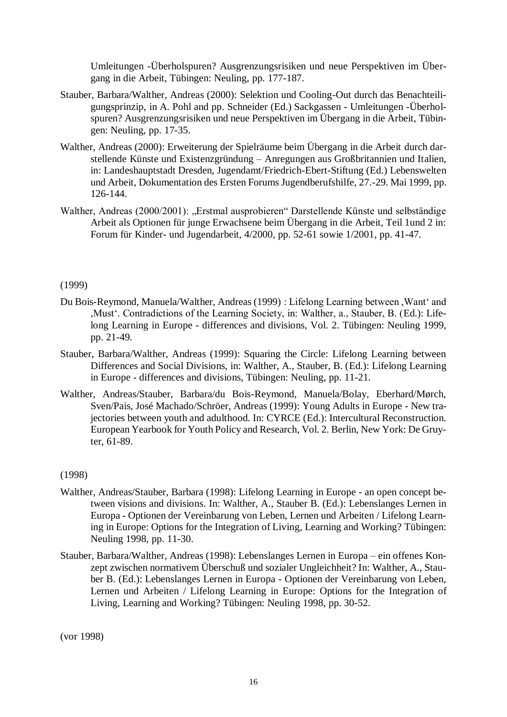Umleitungen -Überholspuren? Ausgrenzungsrisiken und neue Perspektiven im Übergang in die Arbeit, Tübingen: Neuling, pp. 177-187.

- Stauber, Barbara/Walther, Andreas (2000): Selektion und Cooling-Out durch das Benachteiligungsprinzip, in A. Pohl and pp. Schneider (Ed.) Sackgassen - Umleitungen -Überholspuren? Ausgrenzungsrisiken und neue Perspektiven im Übergang in die Arbeit, Tübingen: Neuling, pp. 17-35.
- Walther, Andreas (2000): Erweiterung der Spielräume beim Übergang in die Arbeit durch darstellende Künste und Existenzgründung – Anregungen aus Großbritannien und Italien, in: Landeshauptstadt Dresden, Jugendamt/Friedrich-Ebert-Stiftung (Ed.) Lebenswelten und Arbeit, Dokumentation des Ersten Forums Jugendberufshilfe, 27.-29. Mai 1999, pp. 126-144.
- Walther, Andreas (2000/2001): "Erstmal ausprobieren" Darstellende Künste und selbständige Arbeit als Optionen für junge Erwachsene beim Übergang in die Arbeit, Teil 1und 2 in: Forum für Kinder- und Jugendarbeit, 4/2000, pp. 52-61 sowie 1/2001, pp. 41-47.

#### (1999)

- Du Bois-Reymond, Manuela/Walther, Andreas (1999) : Lifelong Learning between ,Want' and ,Must'. Contradictions of the Learning Society, in: Walther, a., Stauber, B. (Ed.): Lifelong Learning in Europe - differences and divisions, Vol. 2. Tübingen: Neuling 1999, pp. 21-49.
- Stauber, Barbara/Walther, Andreas (1999): Squaring the Circle: Lifelong Learning between Differences and Social Divisions, in: Walther, A., Stauber, B. (Ed.): Lifelong Learning in Europe - differences and divisions, Tübingen: Neuling, pp. 11-21.
- Walther, Andreas/Stauber, Barbara/du Bois-Reymond, Manuela/Bolay, Eberhard/Mørch, Sven/Pais, José Machado/Schröer, Andreas (1999): Young Adults in Europe - New trajectories between youth and adulthood. In: CYRCE (Ed.): Intercultural Reconstruction. European Yearbook for Youth Policy and Research, Vol. 2. Berlin, New York: De Gruyter, 61-89.

#### (1998)

- Walther, Andreas/Stauber, Barbara (1998): Lifelong Learning in Europe an open concept between visions and divisions. In: Walther, A., Stauber B. (Ed.): Lebenslanges Lernen in Europa - Optionen der Vereinbarung von Leben, Lernen und Arbeiten / Lifelong Learning in Europe: Options for the Integration of Living, Learning and Working? Tübingen: Neuling 1998, pp. 11-30.
- Stauber, Barbara/Walther, Andreas (1998): Lebenslanges Lernen in Europa ein offenes Konzept zwischen normativem Überschuß und sozialer Ungleichheit? In: Walther, A., Stauber B. (Ed.): Lebenslanges Lernen in Europa - Optionen der Vereinbarung von Leben, Lernen und Arbeiten / Lifelong Learning in Europe: Options for the Integration of Living, Learning and Working? Tübingen: Neuling 1998, pp. 30-52.

(vor 1998)